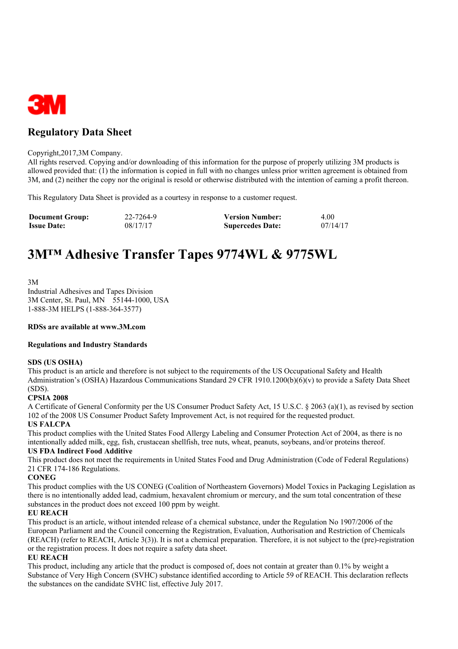

## **Regulatory Data Sheet**

#### Copyright,2017,3M Company.

All rights reserved. Copying and/or downloading of this information for the purpose of properly utilizing 3M products is allowed provided that: (1) the information is copied in full with no changes unless prior written agreement is obtained from 3M, and (2) neither the copy nor the original is resold or otherwise distributed with the intention of earning a profit thereon.

This Regulatory Data Sheet is provided as a courtesy in response to a customer request.

| <b>Document Group:</b> | 22-7264-9 | <b>Version Number:</b>  | 4.00     |
|------------------------|-----------|-------------------------|----------|
| <b>Issue Date:</b>     | 08/17/17  | <b>Supercedes Date:</b> | 07/14/17 |

# **3M™ Adhesive Transfer Tapes 9774WL & 9775WL**

3M

Industrial Adhesives and Tapes Division 3M Center, St. Paul, MN 55144-1000, USA 1-888-3M HELPS (1-888-364-3577)

#### **RDSs are available at www.3M.com**

#### **Regulations and Industry Standards**

#### **SDS (US OSHA)**

This product is an article and therefore is not subject to the requirements of the US Occupational Safety and Health Administration's (OSHA) Hazardous Communications Standard 29 CFR 1910.1200(b)(6)(v) to provide a Safety Data Sheet (SDS).

#### **CPSIA 2008**

A Certificate of General Conformity per the US Consumer Product Safety Act, 15 U.S.C. § 2063 (a)(1), as revised by section 102 of the 2008 US Consumer Product Safety Improvement Act, is not required for the requested product.

#### **US FALCPA**

This product complies with the United States Food Allergy Labeling and Consumer Protection Act of 2004, as there is no intentionally added milk, egg, fish, crustacean shellfish, tree nuts, wheat, peanuts, soybeans, and/or proteins thereof.

#### **US FDA Indirect Food Additive**

This product does not meet the requirements in United States Food and Drug Administration (Code of Federal Regulations) 21 CFR 174-186 Regulations.

#### **CONEG**

This product complies with the US CONEG (Coalition of Northeastern Governors) Model Toxics in Packaging Legislation as there is no intentionally added lead, cadmium, hexavalent chromium or mercury, and the sum total concentration of these substances in the product does not exceed 100 ppm by weight.

#### **EU REACH**

This product is an article, without intended release of a chemical substance, under the Regulation No 1907/2006 of the European Parliament and the Council concerning the Registration, Evaluation, Authorisation and Restriction of Chemicals (REACH) (refer to REACH, Article 3(3)). It is not a chemical preparation. Therefore, it is not subject to the (pre)-registration or the registration process. It does not require a safety data sheet.

#### **EU REACH**

This product, including any article that the product is composed of, does not contain at greater than 0.1% by weight a Substance of Very High Concern (SVHC) substance identified according to Article 59 of REACH. This declaration reflects the substances on the candidate SVHC list, effective July 2017.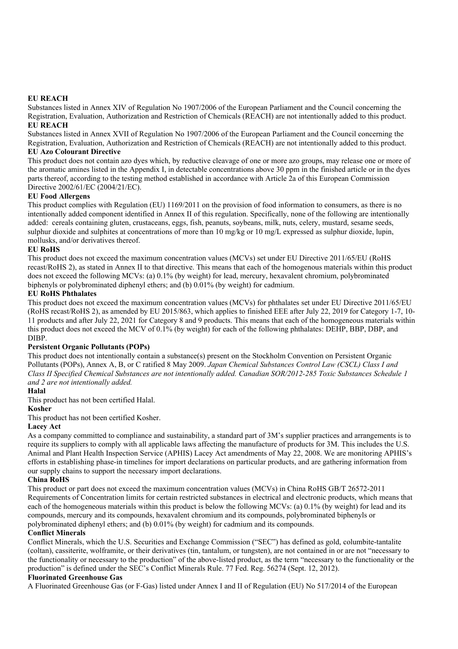#### **EU REACH**

Substances listed in Annex XIV of Regulation No 1907/2006 of the European Parliament and the Council concerning the Registration, Evaluation, Authorization and Restriction of Chemicals (REACH) are not intentionally added to this product. **EU REACH**

Substances listed in Annex XVII of Regulation No 1907/2006 of the European Parliament and the Council concerning the Registration, Evaluation, Authorization and Restriction of Chemicals (REACH) are not intentionally added to this product. **EU Azo Colourant Directive**

This product does not contain azo dyes which, by reductive cleavage of one or more azo groups, may release one or more of the aromatic amines listed in the Appendix I, in detectable concentrations above 30 ppm in the finished article or in the dyes parts thereof, according to the testing method established in accordance with Article 2a of this European Commission Directive 2002/61/EC (2004/21/EC).

#### **EU Food Allergens**

This product complies with Regulation (EU) 1169/2011 on the provision of food information to consumers, as there is no intentionally added component identified in Annex II of this regulation. Specifically, none of the following are intentionally added: cereals containing gluten, crustaceans, eggs, fish, peanuts, soybeans, milk, nuts, celery, mustard, sesame seeds, sulphur dioxide and sulphites at concentrations of more than 10 mg/kg or 10 mg/L expressed as sulphur dioxide, lupin, mollusks, and/or derivatives thereof.

#### **EU RoHS**

This product does not exceed the maximum concentration values (MCVs) set under EU Directive 2011/65/EU (RoHS recast/RoHS 2), as stated in Annex II to that directive. This means that each of the homogenous materials within this product does not exceed the following MCVs: (a) 0.1% (by weight) for lead, mercury, hexavalent chromium, polybrominated biphenyls or polybrominated diphenyl ethers; and (b) 0.01% (by weight) for cadmium.

#### **EU RoHS Phthalates**

This product does not exceed the maximum concentration values (MCVs) for phthalates set under EU Directive 2011/65/EU (RoHS recast/RoHS 2), as amended by EU 2015/863, which applies to finished EEE after July 22, 2019 for Category 1-7, 10- 11 products and after July 22, 2021 for Category 8 and 9 products. This means that each of the homogeneous materials within this product does not exceed the MCV of 0.1% (by weight) for each of the following phthalates: DEHP, BBP, DBP, and DIBP.

#### **Persistent Organic Pollutants (POPs)**

This product does not intentionally contain a substance(s) present on the Stockholm Convention on Persistent Organic Pollutants (POPs), Annex A, B, or C ratified 8 May 2009. *Japan Chemical Substances Control Law (CSCL) Class I and Class II Specified Chemical Substances are not intentionally added. Canadian SOR/2012-285 Toxic Substances Schedule 1 and 2 are not intentionally added.*

#### **Halal**

This product has not been certified Halal.

#### **Kosher**

This product has not been certified Kosher.

#### **Lacey Act**

As a company committed to compliance and sustainability, a standard part of 3M's supplier practices and arrangements is to require its suppliers to comply with all applicable laws affecting the manufacture of products for 3M. This includes the U.S. Animal and Plant Health Inspection Service (APHIS) Lacey Act amendments of May 22, 2008. We are monitoring APHIS's efforts in establishing phase-in timelines for import declarations on particular products, and are gathering information from our supply chains to support the necessary import declarations.

#### **China RoHS**

This product or part does not exceed the maximum concentration values (MCVs) in China RoHS GB/T 26572-2011 Requirements of Concentration limits for certain restricted substances in electrical and electronic products, which means that each of the homogeneous materials within this product is below the following MCVs: (a) 0.1% (by weight) for lead and its compounds, mercury and its compounds, hexavalent chromium and its compounds, polybrominated biphenyls or polybrominated diphenyl ethers; and (b) 0.01% (by weight) for cadmium and its compounds.

#### **Conflict Minerals**

Conflict Minerals, which the U.S. Securities and Exchange Commission ("SEC") has defined as gold, columbite-tantalite (coltan), cassiterite, wolframite, or their derivatives (tin, tantalum, or tungsten), are not contained in or are not "necessary to the functionality or necessary to the production" of the above-listed product, as the term "necessary to the functionality or the production" is defined under the SEC's Conflict Minerals Rule. 77 Fed. Reg. 56274 (Sept. 12, 2012).

#### **Fluorinated Greenhouse Gas**

A Fluorinated Greenhouse Gas (or F-Gas) listed under Annex I and II of Regulation (EU) No 517/2014 of the European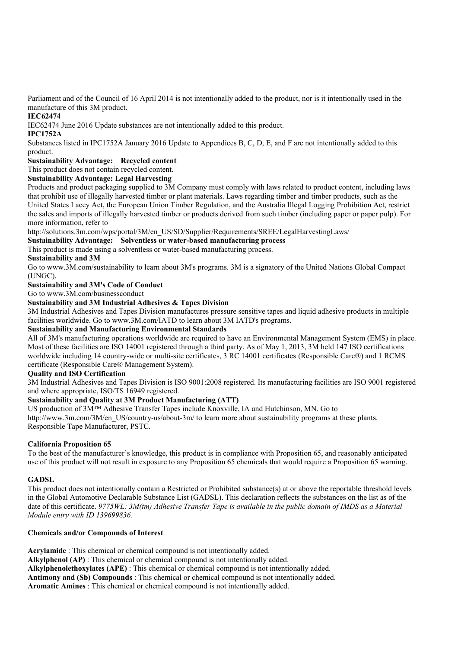Parliament and of the Council of 16 April 2014 is not intentionally added to the product, nor is it intentionally used in the manufacture of this 3M product.

#### **IEC62474**

IEC62474 June 2016 Update substances are not intentionally added to this product.

#### **IPC1752A**

Substances listed in IPC1752A January 2016 Update to Appendices B, C, D, E, and F are not intentionally added to this product.

### **Sustainability Advantage: Recycled content**

This product does not contain recycled content.

#### **Sustainability Advantage: Legal Harvesting**

Products and product packaging supplied to 3M Company must comply with laws related to product content, including laws that prohibit use of illegally harvested timber or plant materials. Laws regarding timber and timber products, such as the United States Lacey Act, the European Union Timber Regulation, and the Australia Illegal Logging Prohibition Act, restrict the sales and imports of illegally harvested timber or products derived from such timber (including paper or paper pulp). For more information, refer to

http://solutions.3m.com/wps/portal/3M/en\_US/SD/Supplier/Requirements/SREE/LegalHarvestingLaws/

**Sustainability Advantage: Solventless or water-based manufacturing process**

#### This product is made using a solventless or water-based manufacturing process.

#### **Sustainability and 3M**

Go to www.3M.com/sustainability to learn about 3M's programs. 3M is a signatory of the United Nations Global Compact (UNGC).

### **Sustainability and 3M's Code of Conduct**

Go to www.3M.com/businessconduct

#### **Sustainability and 3M Industrial Adhesives & Tapes Division**

3M Industrial Adhesives and Tapes Division manufactures pressure sensitive tapes and liquid adhesive products in multiple facilities worldwide. Go to www.3M.com/IATD to learn about 3M IATD's programs.

#### **Sustainability and Manufacturing Environmental Standards**

All of 3M's manufacturing operations worldwide are required to have an Environmental Management System (EMS) in place. Most of these facilities are ISO 14001 registered through a third party. As of May 1, 2013, 3M held 147 ISO certifications worldwide including 14 country-wide or multi-site certificates, 3 RC 14001 certificates (Responsible Care®) and 1 RCMS certificate (Responsible Care® Management System).

#### **Quality and ISO Certification**

3M Industrial Adhesives and Tapes Division is ISO 9001:2008 registered. Its manufacturing facilities are ISO 9001 registered and where appropriate, ISO/TS 16949 registered.

#### **Sustainability and Quality at 3M Product Manufacturing (ATT)**

US production of 3M™ Adhesive Transfer Tapes include Knoxville, IA and Hutchinson, MN. Go to http://www.3m.com/3M/en\_US/country-us/about-3m/ to learn more about sustainability programs at these plants. Responsible Tape Manufacturer, PSTC.

#### **California Proposition 65**

To the best of the manufacturer's knowledge, this product is in compliance with Proposition 65, and reasonably anticipated use of this product will not result in exposure to any Proposition 65 chemicals that would require a Proposition 65 warning.

#### **GADSL**

This product does not intentionally contain a Restricted or Prohibited substance(s) at or above the reportable threshold levels in the Global Automotive Declarable Substance List (GADSL). This declaration reflects the substances on the list as of the date of this certificate. 9775WL: 3M(tm) Adhesive Transfer Tape is available in the public domain of IMDS as a Material *Module entry with ID 139699836.*

#### **Chemicals and/or Compounds of Interest**

**Acrylamide** : This chemical or chemical compound is not intentionally added. **Alkylphenol (AP)** : This chemical or chemical compound is not intentionally added. **Alkylphenolethoxylates (APE)** : This chemical or chemical compound is not intentionally added. **Antimony and (Sb) Compounds** : This chemical or chemical compound is not intentionally added. **Aromatic Amines** : This chemical or chemical compound is not intentionally added.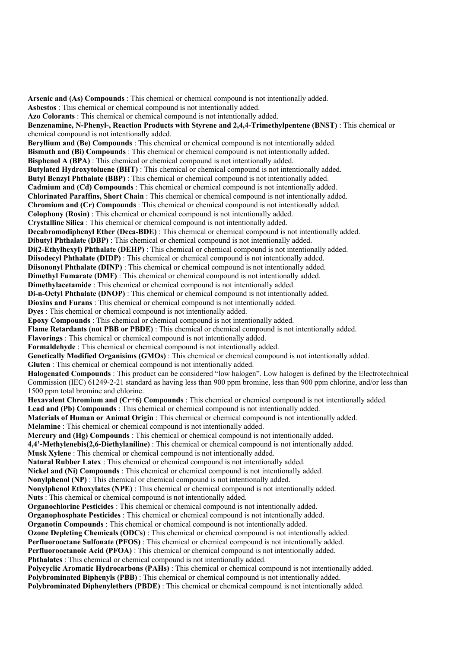**Arsenic and (As) Compounds** : This chemical or chemical compound is not intentionally added. **Asbestos** : This chemical or chemical compound is not intentionally added. **Azo Colorants** : This chemical or chemical compound is not intentionally added. **Benzenamine, N-Phenyl-, Reaction Products with Styrene and 2,4,4-Trimethylpentene (BNST)** : This chemical or chemical compound is not intentionally added. **Beryllium and (Be) Compounds** : This chemical or chemical compound is not intentionally added. **Bismuth and (Bi) Compounds** : This chemical or chemical compound is not intentionally added. **Bisphenol A (BPA)** : This chemical or chemical compound is not intentionally added. **Butylated Hydroxytoluene (BHT)** : This chemical or chemical compound is not intentionally added. **Butyl Benzyl Phthalate (BBP)** : This chemical or chemical compound is not intentionally added. **Cadmium and (Cd) Compounds** : This chemical or chemical compound is not intentionally added. **Chlorinated Paraffins, Short Chain** : This chemical or chemical compound is not intentionally added. **Chromium and (Cr) Compounds** : This chemical or chemical compound is not intentionally added. **Colophony (Rosin)** : This chemical or chemical compound is not intentionally added. **Crystalline Silica** : This chemical or chemical compound is not intentionally added. **Decabromodiphenyl Ether (Deca-BDE)** : This chemical or chemical compound is not intentionally added. **Dibutyl Phthalate (DBP)** : This chemical or chemical compound is not intentionally added. **Di(2-Ethylhexyl) Phthalate (DEHP)** : This chemical or chemical compound is not intentionally added. **Diisodecyl Phthalate (DIDP)** : This chemical or chemical compound is not intentionally added. **Diisononyl Phthalate (DINP)** : This chemical or chemical compound is not intentionally added. **Dimethyl Fumarate (DMF)** : This chemical or chemical compound is not intentionally added. **Dimethylacetamide** : This chemical or chemical compound is not intentionally added. **Di-n-Octyl Phthalate (DNOP)** : This chemical or chemical compound is not intentionally added. **Dioxins and Furans** : This chemical or chemical compound is not intentionally added. **Dyes** : This chemical or chemical compound is not intentionally added. **Epoxy Compounds** : This chemical or chemical compound is not intentionally added. **Flame Retardants (not PBB or PBDE)** : This chemical or chemical compound is not intentionally added. **Flavorings** : This chemical or chemical compound is not intentionally added. **Formaldehyde** : This chemical or chemical compound is not intentionally added. **Genetically Modified Organisims (GMOs)** : This chemical or chemical compound is not intentionally added. **Gluten** : This chemical or chemical compound is not intentionally added. **Halogenated Compounds** : This product can be considered "low halogen". Low halogen is defined by the Electrotechnical Commission (IEC) 61249-2-21 standard as having less than 900 ppm bromine, less than 900 ppm chlorine, and/or less than 1500 ppm total bromine and chlorine. **Hexavalent Chromium and (Cr+6) Compounds** : This chemical or chemical compound is not intentionally added. **Lead and (Pb) Compounds** : This chemical or chemical compound is not intentionally added. **Materials of Human or Animal Origin** : This chemical or chemical compound is not intentionally added. **Melamine** : This chemical or chemical compound is not intentionally added. **Mercury and (Hg) Compounds** : This chemical or chemical compound is not intentionally added. **4,4'-Methylenebis(2,6-Diethylaniline)** : This chemical or chemical compound is not intentionally added. **Musk Xylene** : This chemical or chemical compound is not intentionally added. **Natural Rubber Latex** : This chemical or chemical compound is not intentionally added. **Nickel and (Ni) Compounds** : This chemical or chemical compound is not intentionally added. **Nonylphenol (NP)** : This chemical or chemical compound is not intentionally added. **Nonylphenol Ethoxylates (NPE)** : This chemical or chemical compound is not intentionally added. **Nuts** : This chemical or chemical compound is not intentionally added. **Organochlorine Pesticides** : This chemical or chemical compound is not intentionally added. **Organophosphate Pesticides** : This chemical or chemical compound is not intentionally added. **Organotin Compounds** : This chemical or chemical compound is not intentionally added. **Ozone Depleting Chemicals (ODCs)** : This chemical or chemical compound is not intentionally added. **Perfluorooctane Sulfonate (PFOS)** : This chemical or chemical compound is not intentionally added. **Perfluorooctanoic Acid (PFOA)** : This chemical or chemical compound is not intentionally added. **Phthalates** : This chemical or chemical compound is not intentionally added. **Polycyclic Aromatic Hydrocarbons (PAHs)** : This chemical or chemical compound is not intentionally added. **Polybrominated Biphenyls (PBB)** : This chemical or chemical compound is not intentionally added. **Polybrominated Diphenylethers (PBDE)** : This chemical or chemical compound is not intentionally added.